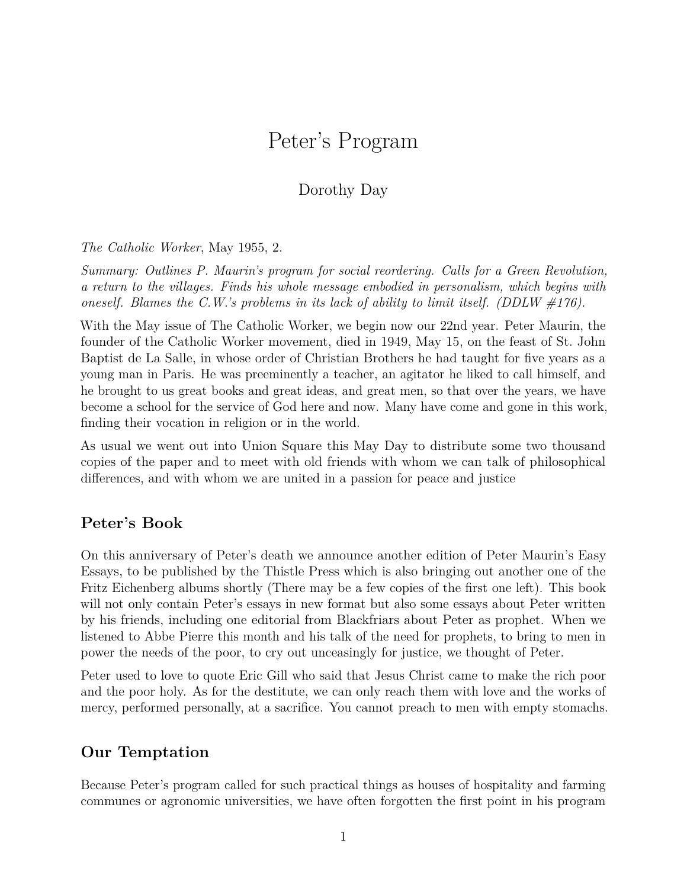# Peter's Program

# Dorothy Day

*The Catholic Worker*, May 1955, 2.

*Summary: Outlines P. Maurin's program for social reordering. Calls for a Green Revolution, a return to the villages. Finds his whole message embodied in personalism, which begins with oneself. Blames the C.W.'s problems in its lack of ability to limit itself. (DDLW #176).*

With the May issue of The Catholic Worker, we begin now our 22nd year. Peter Maurin, the founder of the Catholic Worker movement, died in 1949, May 15, on the feast of St. John Baptist de La Salle, in whose order of Christian Brothers he had taught for five years as a young man in Paris. He was preeminently a teacher, an agitator he liked to call himself, and he brought to us great books and great ideas, and great men, so that over the years, we have become a school for the service of God here and now. Many have come and gone in this work, finding their vocation in religion or in the world.

As usual we went out into Union Square this May Day to distribute some two thousand copies of the paper and to meet with old friends with whom we can talk of philosophical differences, and with whom we are united in a passion for peace and justice

#### **Peter's Book**

On this anniversary of Peter's death we announce another edition of Peter Maurin's Easy Essays, to be published by the Thistle Press which is also bringing out another one of the Fritz Eichenberg albums shortly (There may be a few copies of the first one left). This book will not only contain Peter's essays in new format but also some essays about Peter written by his friends, including one editorial from Blackfriars about Peter as prophet. When we listened to Abbe Pierre this month and his talk of the need for prophets, to bring to men in power the needs of the poor, to cry out unceasingly for justice, we thought of Peter.

Peter used to love to quote Eric Gill who said that Jesus Christ came to make the rich poor and the poor holy. As for the destitute, we can only reach them with love and the works of mercy, performed personally, at a sacrifice. You cannot preach to men with empty stomachs.

#### **Our Temptation**

Because Peter's program called for such practical things as houses of hospitality and farming communes or agronomic universities, we have often forgotten the first point in his program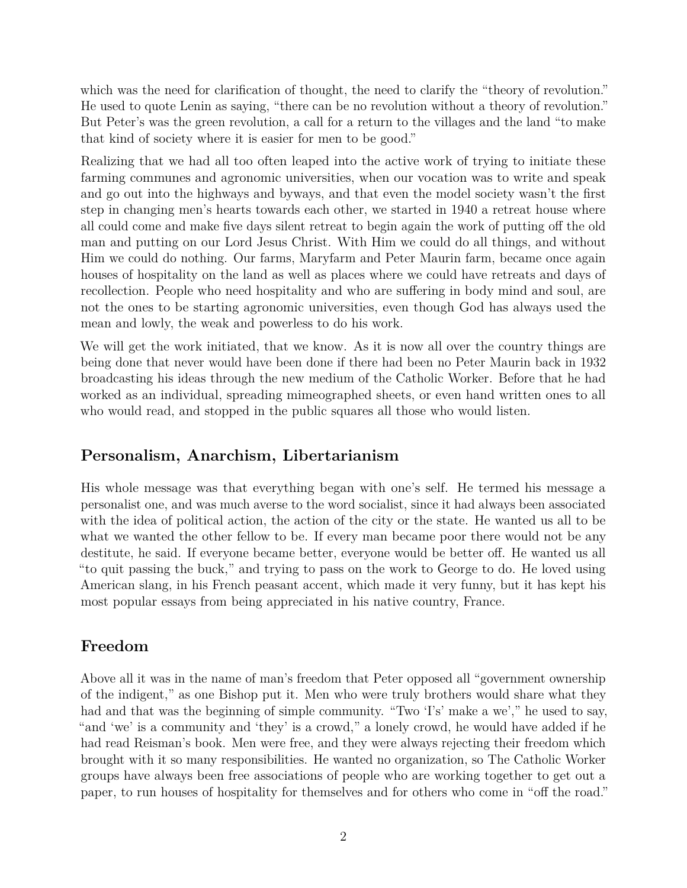which was the need for clarification of thought, the need to clarify the "theory of revolution." He used to quote Lenin as saying, "there can be no revolution without a theory of revolution." But Peter's was the green revolution, a call for a return to the villages and the land "to make that kind of society where it is easier for men to be good."

Realizing that we had all too often leaped into the active work of trying to initiate these farming communes and agronomic universities, when our vocation was to write and speak and go out into the highways and byways, and that even the model society wasn't the first step in changing men's hearts towards each other, we started in 1940 a retreat house where all could come and make five days silent retreat to begin again the work of putting off the old man and putting on our Lord Jesus Christ. With Him we could do all things, and without Him we could do nothing. Our farms, Maryfarm and Peter Maurin farm, became once again houses of hospitality on the land as well as places where we could have retreats and days of recollection. People who need hospitality and who are suffering in body mind and soul, are not the ones to be starting agronomic universities, even though God has always used the mean and lowly, the weak and powerless to do his work.

We will get the work initiated, that we know. As it is now all over the country things are being done that never would have been done if there had been no Peter Maurin back in 1932 broadcasting his ideas through the new medium of the Catholic Worker. Before that he had worked as an individual, spreading mimeographed sheets, or even hand written ones to all who would read, and stopped in the public squares all those who would listen.

# **Personalism, Anarchism, Libertarianism**

His whole message was that everything began with one's self. He termed his message a personalist one, and was much averse to the word socialist, since it had always been associated with the idea of political action, the action of the city or the state. He wanted us all to be what we wanted the other fellow to be. If every man became poor there would not be any destitute, he said. If everyone became better, everyone would be better off. He wanted us all "to quit passing the buck," and trying to pass on the work to George to do. He loved using American slang, in his French peasant accent, which made it very funny, but it has kept his most popular essays from being appreciated in his native country, France.

# **Freedom**

Above all it was in the name of man's freedom that Peter opposed all "government ownership of the indigent," as one Bishop put it. Men who were truly brothers would share what they had and that was the beginning of simple community. "Two 'I's' make a we'," he used to say, "and 'we' is a community and 'they' is a crowd," a lonely crowd, he would have added if he had read Reisman's book. Men were free, and they were always rejecting their freedom which brought with it so many responsibilities. He wanted no organization, so The Catholic Worker groups have always been free associations of people who are working together to get out a paper, to run houses of hospitality for themselves and for others who come in "off the road."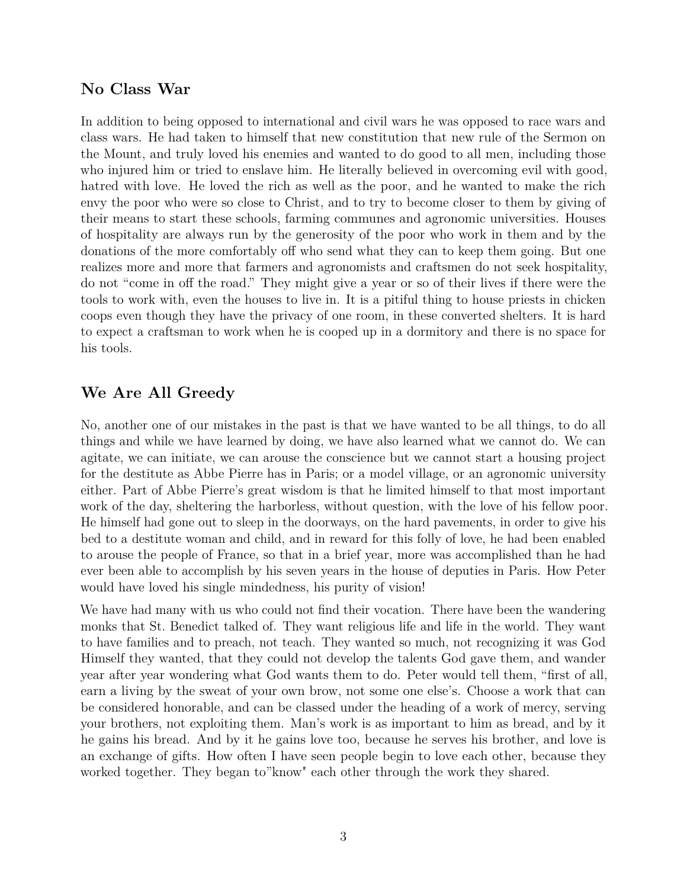# **No Class War**

In addition to being opposed to international and civil wars he was opposed to race wars and class wars. He had taken to himself that new constitution that new rule of the Sermon on the Mount, and truly loved his enemies and wanted to do good to all men, including those who injured him or tried to enslave him. He literally believed in overcoming evil with good, hatred with love. He loved the rich as well as the poor, and he wanted to make the rich envy the poor who were so close to Christ, and to try to become closer to them by giving of their means to start these schools, farming communes and agronomic universities. Houses of hospitality are always run by the generosity of the poor who work in them and by the donations of the more comfortably off who send what they can to keep them going. But one realizes more and more that farmers and agronomists and craftsmen do not seek hospitality, do not "come in off the road." They might give a year or so of their lives if there were the tools to work with, even the houses to live in. It is a pitiful thing to house priests in chicken coops even though they have the privacy of one room, in these converted shelters. It is hard to expect a craftsman to work when he is cooped up in a dormitory and there is no space for his tools.

# **We Are All Greedy**

No, another one of our mistakes in the past is that we have wanted to be all things, to do all things and while we have learned by doing, we have also learned what we cannot do. We can agitate, we can initiate, we can arouse the conscience but we cannot start a housing project for the destitute as Abbe Pierre has in Paris; or a model village, or an agronomic university either. Part of Abbe Pierre's great wisdom is that he limited himself to that most important work of the day, sheltering the harborless, without question, with the love of his fellow poor. He himself had gone out to sleep in the doorways, on the hard pavements, in order to give his bed to a destitute woman and child, and in reward for this folly of love, he had been enabled to arouse the people of France, so that in a brief year, more was accomplished than he had ever been able to accomplish by his seven years in the house of deputies in Paris. How Peter would have loved his single mindedness, his purity of vision!

We have had many with us who could not find their vocation. There have been the wandering monks that St. Benedict talked of. They want religious life and life in the world. They want to have families and to preach, not teach. They wanted so much, not recognizing it was God Himself they wanted, that they could not develop the talents God gave them, and wander year after year wondering what God wants them to do. Peter would tell them, "first of all, earn a living by the sweat of your own brow, not some one else's. Choose a work that can be considered honorable, and can be classed under the heading of a work of mercy, serving your brothers, not exploiting them. Man's work is as important to him as bread, and by it he gains his bread. And by it he gains love too, because he serves his brother, and love is an exchange of gifts. How often I have seen people begin to love each other, because they worked together. They began to"know" each other through the work they shared.